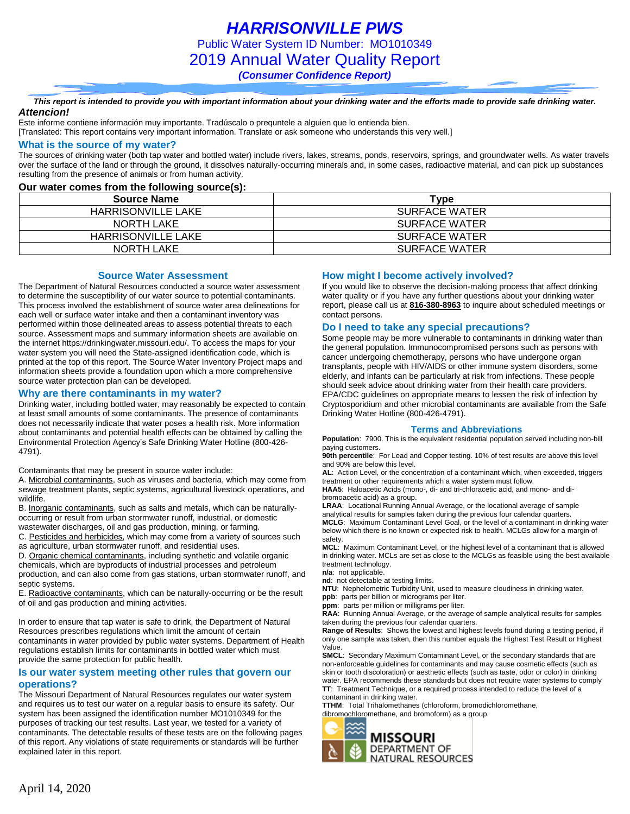*HARRISONVILLE PWS* Public Water System ID Number: MO1010349 2019 Annual Water Quality Report *(Consumer Confidence Report)*

*This report is intended to provide you with important information about your drinking water and the efforts made to provide safe drinking water. Attencion!*

Este informe contiene información muy importante. Tradúscalo o prequntele a alguien que lo entienda bien.

[Translated: This report contains very important information. Translate or ask someone who understands this very well.]

#### **What is the source of my water?**

The sources of drinking water (both tap water and bottled water) include rivers, lakes, streams, ponds, reservoirs, springs, and groundwater wells. As water travels over the surface of the land or through the ground, it dissolves naturally-occurring minerals and, in some cases, radioactive material, and can pick up substances resulting from the presence of animals or from human activity.

#### **Our water comes from the following source(s):**

| <b>Source Name</b>        | Type                 |
|---------------------------|----------------------|
| <b>HARRISONVILLE LAKE</b> | <b>SURFACE WATER</b> |
| NORTH LAKE                | SURFACE WATER        |
| HARRISONVILLE LAKE        | SURFACE WATER        |
| NORTH LAKE                | SURFACE WATER        |

#### **Source Water Assessment**

The Department of Natural Resources conducted a source water assessment to determine the susceptibility of our water source to potential contaminants. This process involved the establishment of source water area delineations for each well or surface water intake and then a contaminant inventory was performed within those delineated areas to assess potential threats to each source. Assessment maps and summary information sheets are available on the internet https://drinkingwater.missouri.edu/. To access the maps for your water system you will need the State-assigned identification code, which is printed at the top of this report. The Source Water Inventory Project maps and information sheets provide a foundation upon which a more comprehensive source water protection plan can be developed.

#### **Why are there contaminants in my water?**

Drinking water, including bottled water, may reasonably be expected to contain at least small amounts of some contaminants. The presence of contaminants does not necessarily indicate that water poses a health risk. More information about contaminants and potential health effects can be obtained by calling the Environmental Protection Agency's Safe Drinking Water Hotline (800-426- 4791).

Contaminants that may be present in source water include:

A. Microbial contaminants, such as viruses and bacteria, which may come from sewage treatment plants, septic systems, agricultural livestock operations, and wildlife.

B. Inorganic contaminants, such as salts and metals, which can be naturallyoccurring or result from urban stormwater runoff, industrial, or domestic wastewater discharges, oil and gas production, mining, or farming.

C. Pesticides and herbicides, which may come from a variety of sources such

as agriculture, urban stormwater runoff, and residential uses.

D. Organic chemical contaminants, including synthetic and volatile organic chemicals, which are byproducts of industrial processes and petroleum production, and can also come from gas stations, urban stormwater runoff, and septic systems.

E. Radioactive contaminants, which can be naturally-occurring or be the result of oil and gas production and mining activities.

In order to ensure that tap water is safe to drink, the Department of Natural Resources prescribes regulations which limit the amount of certain contaminants in water provided by public water systems. Department of Health regulations establish limits for contaminants in bottled water which must provide the same protection for public health.

#### **Is our water system meeting other rules that govern our operations?**

The Missouri Department of Natural Resources regulates our water system and requires us to test our water on a regular basis to ensure its safety. Our system has been assigned the identification number MO1010349 for the purposes of tracking our test results. Last year, we tested for a variety of contaminants. The detectable results of these tests are on the following pages of this report. Any violations of state requirements or standards will be further explained later in this report.

#### **How might I become actively involved?**

If you would like to observe the decision-making process that affect drinking water quality or if you have any further questions about your drinking water report, please call us at **816-380-8963** to inquire about scheduled meetings or contact persons.

#### **Do I need to take any special precautions?**

Some people may be more vulnerable to contaminants in drinking water than the general population. Immunocompromised persons such as persons with cancer undergoing chemotherapy, persons who have undergone organ transplants, people with HIV/AIDS or other immune system disorders, some elderly, and infants can be particularly at risk from infections. These people should seek advice about drinking water from their health care providers. EPA/CDC guidelines on appropriate means to lessen the risk of infection by Cryptosporidium and other microbial contaminants are available from the Safe Drinking Water Hotline (800-426-4791).

#### **Terms and Abbreviations**

**Population**: 7900. This is the equivalent residential population served including non-bill paying customers.

**90th percentile**: For Lead and Copper testing. 10% of test results are above this level and 90% are below this level.

**AL**: Action Level, or the concentration of a contaminant which, when exceeded, triggers treatment or other requirements which a water system must follow.

**HAA5**: Haloacetic Acids (mono-, di- and tri-chloracetic acid, and mono- and dibromoacetic acid) as a group.

**LRAA**: Locational Running Annual Average, or the locational average of sample analytical results for samples taken during the previous four calendar quarters. **MCLG**: Maximum Contaminant Level Goal, or the level of a contaminant in drinking water below which there is no known or expected risk to health. MCLGs allow for a margin of safety.

**MCL**: Maximum Contaminant Level, or the highest level of a contaminant that is allowed in drinking water. MCLs are set as close to the MCLGs as feasible using the best available treatment technology.

**n/a**: not applicable.

**nd**: not detectable at testing limits.

**NTU**: Nephelometric Turbidity Unit, used to measure cloudiness in drinking water.

**ppb**: parts per billion or micrograms per liter.

**ppm**: parts per million or milligrams per liter.

**RAA**: Running Annual Average, or the average of sample analytical results for samples taken during the previous four calendar quarters.

**Range of Results**: Shows the lowest and highest levels found during a testing period, if only one sample was taken, then this number equals the Highest Test Result or Highest Value.

**SMCL**: Secondary Maximum Contaminant Level, or the secondary standards that are non-enforceable guidelines for contaminants and may cause cosmetic effects (such as skin or tooth discoloration) or aesthetic effects (such as taste, odor or color) in drinking water. EPA recommends these standards but does not require water systems to comply **TT**: Treatment Technique, or a required process intended to reduce the level of a contaminant in drinking water.

**TTHM**: Total Trihalomethanes (chloroform, bromodichloromethane, dibromochloromethane, and bromoform) as a group.

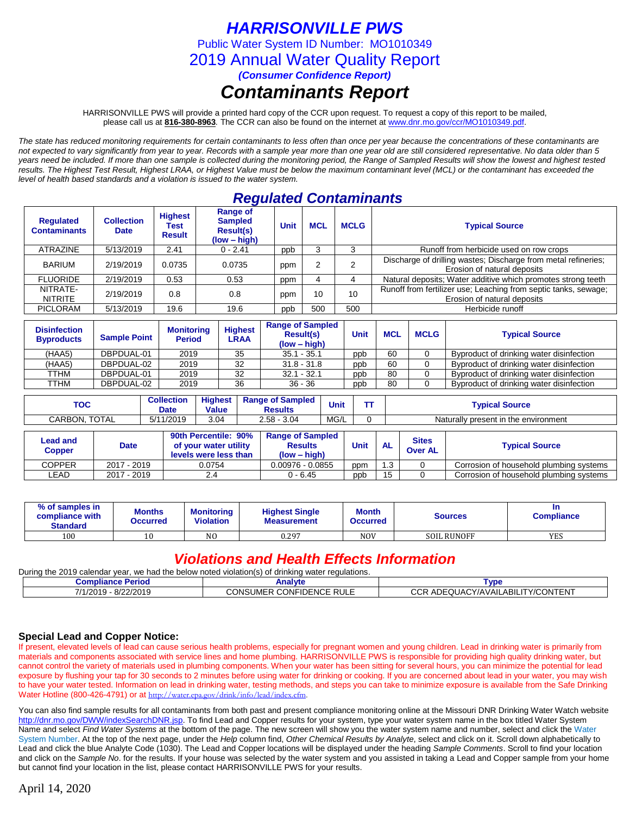## *HARRISONVILLE PWS*

Public Water System ID Number: MO1010349

2019 Annual Water Quality Report

*(Consumer Confidence Report)*

# *Contaminants Report*

HARRISONVILLE PWS will provide a printed hard copy of the CCR upon request. To request a copy of this report to be mailed, please call us at **816-380-8963***.* The CCR can also be found on the internet at www.dnr.mo.gov/ccr/MO1010349.pdf.

*The state has reduced monitoring requirements for certain contaminants to less often than once per year because the concentrations of these contaminants are not expected to vary significantly from year to year. Records with a sample year more than one year old are still considered representative. No data older than 5 years need be included. If more than one sample is collected during the monitoring period, the Range of Sampled Results will show the lowest and highest tested results. The Highest Test Result, Highest LRAA, or Highest Value must be below the maximum contaminant level (MCL) or the contaminant has exceeded the level of health based standards and a violation is issued to the water system.* 

## *Regulated Contaminants*

| <b>Regulated</b><br><b>Contaminants</b> | <b>Collection</b><br><b>Date</b> | <b>Highest</b><br>Test<br><b>Result</b> | <b>Range of</b><br><b>Sampled</b><br><b>Result(s)</b><br>$(low - high)$ | <b>Unit</b> | <b>MCL</b>   | <b>MCLG</b> | <b>Typical Source</b>                                                                          |
|-----------------------------------------|----------------------------------|-----------------------------------------|-------------------------------------------------------------------------|-------------|--------------|-------------|------------------------------------------------------------------------------------------------|
| <b>ATRAZINE</b>                         | 5/13/2019                        | 2.41                                    | $0 - 2.41$                                                              | ppb         | د            |             | Runoff from herbicide used on row crops                                                        |
| <b>BARIUM</b>                           | 2/19/2019                        | 0.0735                                  | 0.0735                                                                  | ppm         |              |             | Discharge of drilling wastes; Discharge from metal refineries;<br>Erosion of natural deposits  |
| <b>FLUORIDE</b>                         | 2/19/2019                        | 0.53                                    | 0.53                                                                    | ppm         | $\mathbf{A}$ | 4           | Natural deposits; Water additive which promotes strong teeth                                   |
| NITRATE-<br><b>NITRITE</b>              | 2/19/2019                        | 0.8                                     | 0.8                                                                     | ppm         | 10           | 10          | Runoff from fertilizer use; Leaching from septic tanks, sewage;<br>Erosion of natural deposits |
| <b>PICLORAM</b>                         | 5/13/2019                        | 19.6                                    | 19.6                                                                    | ppb         | 500          | 500         | Herbicide runoff                                                                               |

| <b>Disinfection</b><br><b>Byproducts</b> | <b>Sample Point</b> | <b>Monitoring</b><br><b>Period</b> | <b>Highest</b><br><b>LRAA</b> | <b>Range of Sampled</b><br><b>Result(s)</b><br>$(low - high)$ | Unit | <b>MCL</b> | <b>MCLG</b> | <b>Typical Source</b>                    |
|------------------------------------------|---------------------|------------------------------------|-------------------------------|---------------------------------------------------------------|------|------------|-------------|------------------------------------------|
| (HAA5)                                   | DBPDUAL-01          | 2019                               | 35                            | $35.1 - 35.1$                                                 | ppb  | 60         |             | Byproduct of drinking water disinfection |
| (HAA5)                                   | DBPDUAL-02          | 2019                               | 32                            | $31.8 - 31.8$                                                 | ppb  | 60         |             | Byproduct of drinking water disinfection |
| TTHM                                     | DBPDUAL-01          | 2019                               | 32                            | $32.1 - 32.1$                                                 | ppb  | -80        |             | Byproduct of drinking water disinfection |
| TTHM                                     | DBPDUAL-02          | 2019                               | 36                            | $36 - 36$                                                     | ppb  | 80         |             | Byproduct of drinking water disinfection |

| тос                     | <b>Collection</b><br>Date | <b>Highest</b><br><b>Value</b> | <b>Range of Sampled</b><br>Results | <b>Unit</b> | <b>Typical Source</b>                |
|-------------------------|---------------------------|--------------------------------|------------------------------------|-------------|--------------------------------------|
| <b>TOTAL</b><br>CARBON. | 1/2019<br>5/1             | 3.04                           | $2.58 -$<br>3.04                   | MG/L        | Naturally present in the environment |

| Lead and<br><b>Copper</b> | <b>Date</b> | 90th Percentile: 90%<br>of your water utility<br>levels were less than | <b>Range of Sampled</b><br><b>Results</b><br>$(low - high)$ | Unit | <b>AL</b> | <b>Sites</b><br><b>Over AL</b> | <b>Typical Source</b>                   |
|---------------------------|-------------|------------------------------------------------------------------------|-------------------------------------------------------------|------|-----------|--------------------------------|-----------------------------------------|
| <b>COPPER</b>             | 2017 - 2019 | 0.0754                                                                 | $0.00976 - 0.0855$                                          | ppm  | .3        |                                | Corrosion of household plumbing systems |
| ∟EAD                      | 2017 - 2019 | 2.4                                                                    | 0 - 6.45                                                    | ppb  | 15        |                                | Corrosion of household plumbing systems |

| % of samples in<br>compliance with<br><b>Standard</b> | <b>Months</b><br>Occurred | <b>Monitoring</b><br><b>Violation</b> | <b>Highest Single</b><br><b>Measurement</b> | <b>Month</b><br><b>Occurred</b> | Sources            | In<br><b>Compliance</b> |
|-------------------------------------------------------|---------------------------|---------------------------------------|---------------------------------------------|---------------------------------|--------------------|-------------------------|
| 100                                                   |                           | N <sub>O</sub>                        | 0.297                                       | <b>NOV</b>                      | <b>SOIL RUNOFF</b> | <b>YES</b>              |

### *Violations and Health Effects Information*

During the 2019 calendar year, we had the below noted violation(s) of drinking water regulations **Compliance Period Compliance Period Compliance Period Compliance Period Compliance Period Compliance Compliance Period Compliance Period Compliance Period Compliance Period Compliance Period Compliance Period Compliance P** 7/1/2019 - 8/22/2019 CONSUMER CONFIDENCE RULE CCR ADEQUACY/AVAILABILITY/CONTENT

# **Special Lead and Copper Notice:**

If present, elevated levels of lead can cause serious health problems, especially for pregnant women and young children. Lead in drinking water is primarily from materials and components associated with service lines and home plumbing. HARRISONVILLE PWS is responsible for providing high quality drinking water, but cannot control the variety of materials used in plumbing components. When your water has been sitting for several hours, you can minimize the potential for lead exposure by flushing your tap for 30 seconds to 2 minutes before using water for drinking or cooking. If you are concerned about lead in your water, you may wish to have your water tested. Information on lead in drinking water, testing methods, and steps you can take to minimize exposure is available from the Safe Drinking Water Hotline (800-426-4791) or at [http://water.epa.gov/drink/info/lead/index.cfm.](http://water.epa.gov/drink/info/lead/index.cfm)

You can also find sample results for all contaminants from both past and present compliance monitoring online at the Missouri DNR Drinking Water Watch website [http://dnr.mo.gov/DWW/indexSearchDNR.jsp.](http://dnr.mo.gov/DWW/indexSearchDNR.jsp) To find Lead and Copper results for your system, type your water system name in the box titled Water System Name and select *Find Water Systems* at the bottom of the page. The new screen will show you the water system name and number, select and click the Water System Number. At the top of the next page, under the *Help* column find, *Other Chemical Results by Analyte*, select and click on it. Scroll down alphabetically to Lead and click the blue Analyte Code (1030). The Lead and Copper locations will be displayed under the heading *Sample Comments*. Scroll to find your location and click on the Sample No. for the results. If your house was selected by the water system and you assisted in taking a Lead and Copper sample from your home but cannot find your location in the list, please contact HARRISONVILLE PWS for your results.